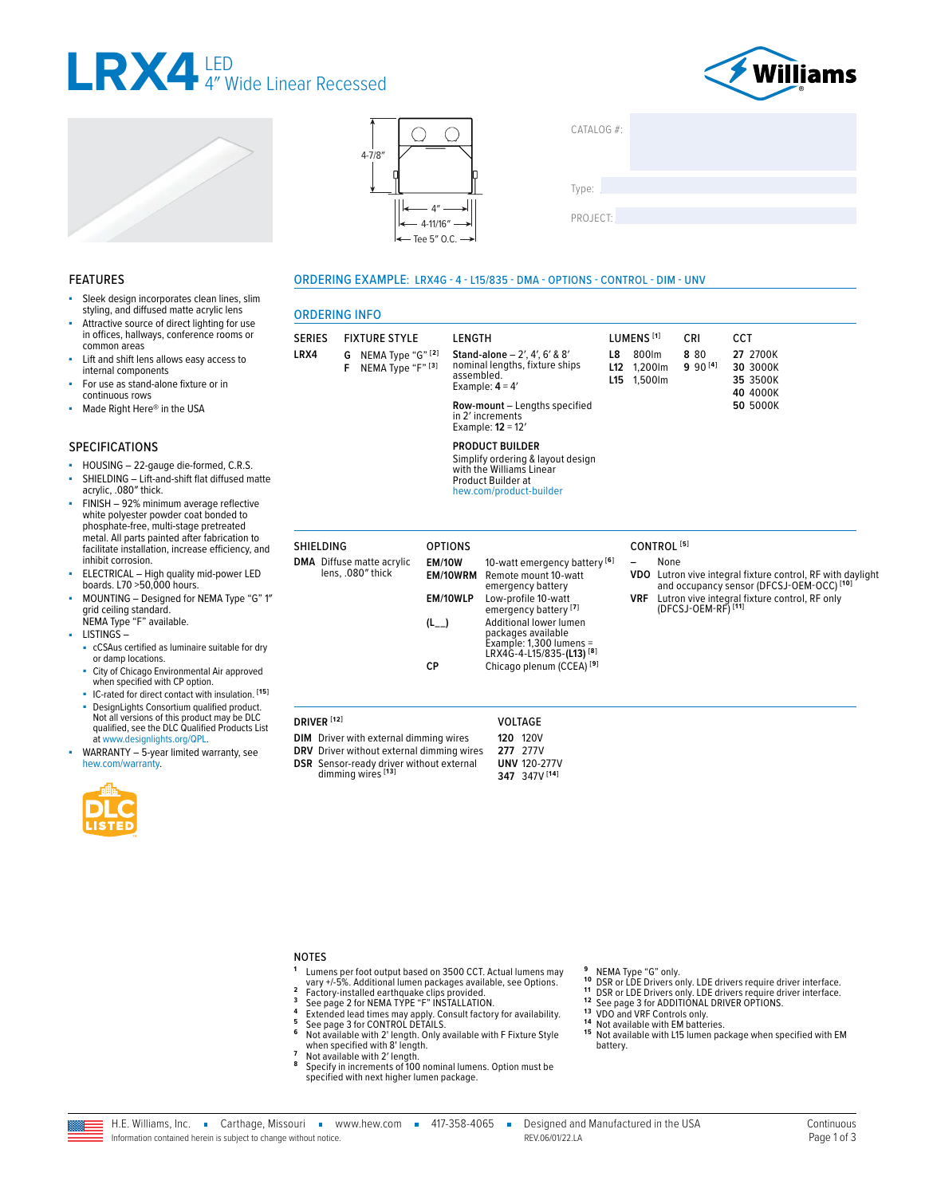







**ORDERING INFO** 

F

**FIXTURE STYLE** 

G NEMA Type "G" [2]

NEMA Type "F"<sup>[3]</sup>

**SERIES** 

LRX4

ORDERING EXAMPLE: LRX4G - 4 - L15/835 - DMA - OPTIONS - CONTROL - DIM - UNV

Stand-alone  $-2'$ , 4', 6' & 8'

nominal lengths, fixture ships

Row-mount - Lengths specified

Simplify ordering & layout design<br>with the Williams Linear<br>Product Builder at

LENGTH

assembled.

Example:  $4 = 4'$ 

in 2' increments<br>Example: 12 = 12'

**PRODUCT BUILDER** 

hew.com/product-builder

| CATALOG #: |  |  |
|------------|--|--|
|            |  |  |
|            |  |  |
| Type:      |  |  |
|            |  |  |
| PROJECT:   |  |  |
|            |  |  |

CRI

8 80

 $990^{[4]}$ 

CCT

27 2700K

30 3000K

35 3500K

40 4000K

**50 5000K** 

#### **FEATURES**

- Sleek design incorporates clean lines, slim styling, and diffused matte acrylic lens
- Attractive source of direct lighting for use in offices, hallways, conference rooms or common areas
- Lift and shift lens allows easy access to internal components
- For use as stand-alone fixture or in continuous rows
- Made Right Here® in the USA ×.

#### **SPECIFICATIONS**

- HOUSING 22-gauge die-formed, C.R.S.
- SHIELDING Lift-and-shift flat diffused matte acrylic, .080" thick.
- FINISH 92% minimum average reflective white polyester powder coat bonded to phosphate-free, multi-stage pretreated metal. All parts painted after fabrication to facilitate installation, increase efficiency, and inhibit corrosion.
- ELECTRICAL High quality mid-power LED boards. L70 > 50,000 hours.
- MOUNTING Designed for NEMA Type "G" 1" grid ceiling standard. NEMA Type "F" available.
- **LISTINGS**
	- cCSAus certified as luminaire suitable for dry
	- or damp locations. - City of Chicago Environmental Air approved when specified with CP option.
	- IC-rated for direct contact with insulation. [15]
	- DesignLights Consortium qualified product. Not all versions of this product may be DLC<br>qualified, see the DLC Qualified Products List at www.designlights.org/QPL.
- WARRANTY 5-year limited warranty, see ×. hew.com/warranty.



| <b>SHIELDING</b>                                      | <b>OPTIONS</b>            |                                        |
|-------------------------------------------------------|---------------------------|----------------------------------------|
| <b>DMA</b> Diffuse matte acrylic<br>lens, .080" thick | <b>EM/10W</b><br>EM/10WRM | 10-watt em<br>Remote mo<br>emergency   |
|                                                       | EM/10WLP                  | Low-profile<br>emergency               |
|                                                       | (L_)                      | Additional<br>packages a<br>Example: 1 |

 $C<sub>F</sub>$ 

## ergency battery [6] ount 10-watt battery a 10-watt battery<sup>[7]</sup> lower lumen -------------<br>available<br>,300 lumens = LRX4G-4-L15/835-(L13)<sup>[8]</sup>

Chicago plenum (CCEA)<sup>[9]</sup>

# CONTROL<sup>[5]</sup>

LUMENS<sup>[1]</sup>

L8 800lm

115

L12 1,200lm

1500lm

- None
- Lutron vive integral fixture control, RF with daylight<br>and occupancy sensor (DFCSJ-OEM-OCC)<sup>[10]</sup> **VDO VRF**
- Lutron vive integral fixture control, RF only<br>(DFCSJ-OEM-RF) [11]

| DRIVER <sup>[12]</sup>                                                                                                                                       |
|--------------------------------------------------------------------------------------------------------------------------------------------------------------|
| <b>DIM</b> Driver with external dimming wires<br>DRV Driver without external dimming wires<br>DSR Sensor-ready driver without external<br>dimming wires [13] |

#### **NOTES**

- 1<br>
1 Lumens per foot output based on 3500 CCT. Actual lumens may<br>
2 vary +/-5%. Additional lumen packages available, see Options.<br>
2 Factory-installed earthquake clips provided.<br>
3 See page 2 for NEMA TYPE "F" INSTALLATION
- 
- 
- 5 See page 3 for CONTROL DETAILS.
- Not available with 2' length. Only available with F Fixture Style<br>when specified with 8' length.
- 
- When specified with 2' length.<br>Specify in increments of 100 nominal lumens. Option must be<br>specified with next higher lumen package.
- 
- NEMA Type "G" only.<br>DSR or LDE Drivers only. LDE drivers require driver interface.  $10$
- $11$ DSR or LDE Drivers only. LDE drivers require diver interface.<br>See page 3 for ADDITIONAL DRIVER OPTIONS.<br>VDO and VRF Controls only.
- $12$ 
	- $13$
- $14$ Not available with EM batteries.
- 15 Not available with L15 lumen package when specified with EM battery.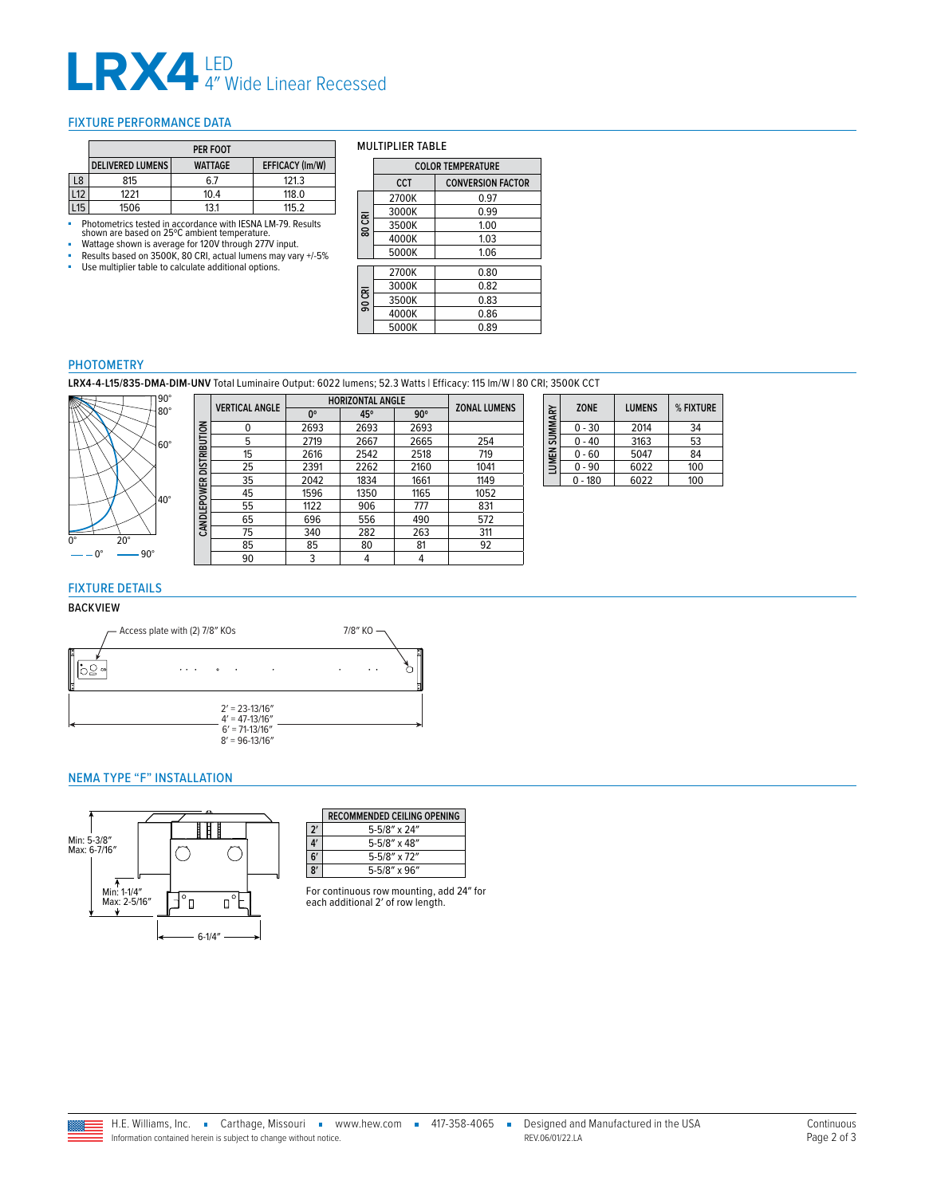# LRX4 LED<br>4" Wide Linear Recessed

## FIXTURE PERFORMANCE DATA

|    |                         | <b>PER FOOT</b> |                        |
|----|-------------------------|-----------------|------------------------|
|    | <b>DELIVERED LUMENS</b> | <b>WATTAGE</b>  | <b>EFFICACY (Im/W)</b> |
| L8 | 815                     | 6.7             | 121.3                  |
| 12 | 1221                    | 10.4            | 118.0                  |
| 15 | 1506                    | 13.1            | 115.2                  |

- Photometrics tested in accordance with IESNA LM-79. Results<br>- shown are based on 25°C ambient temperature.<br>- Wattage shown is average for 120V through 277V input.<br>- Results based on 3500K, 80 CRI, actual lumens may vary

- 
- 
- Use multiplier table to calculate additional options.

### MULTIPLIER TABLE

|        | <b>COLOR TEMPERATURE</b> |                          |  |
|--------|--------------------------|--------------------------|--|
|        | <b>CCT</b>               | <b>CONVERSION FACTOR</b> |  |
|        | 2700K                    | 0.97                     |  |
|        | 3000K                    | 0.99                     |  |
| 80 CRI | 3500K                    | 1.00                     |  |
|        | 4000K                    | 1.03                     |  |
|        | 5000K                    | 1.06                     |  |
|        | 2700K                    | 0.80                     |  |
|        | 3000K                    | 0.82                     |  |
| 90 CRI | 3500K                    | 0.83                     |  |
|        | 4000K                    | 0.86                     |  |
|        | 5000K                    | 0.89                     |  |

# PHOTOMETRY

**LRX4-4-L15/835-DMA-DIM-UNV** Total Luminaire Output: 6022 lumens; 52.3 Watts | Efficacy: 115 lm/W | 80 CRI; 3500K CCT



|                          | <b>VERTICAL ANGLE</b> | <b>HORIZONTAL ANGLE</b> |      |            | <b>ZONAL LUMENS</b> |
|--------------------------|-----------------------|-------------------------|------|------------|---------------------|
|                          |                       | $0^{\circ}$             | 45°  | $90^\circ$ |                     |
|                          | 0                     | 2693                    | 2693 | 2693       |                     |
|                          | 5                     | 2719                    | 2667 | 2665       | 254                 |
| CANDLEPOWER DISTRIBUTION | 15                    | 2616                    | 2542 | 2518       | 719                 |
|                          | 25                    | 2391                    | 2262 | 2160       | 1041                |
|                          | 35                    | 2042                    | 1834 | 1661       | 1149                |
|                          | 45                    | 1596                    | 1350 | 1165       | 1052                |
|                          | 55                    | 1122                    | 906  | 777        | 831                 |
|                          | 65                    | 696                     | 556  | 490        | 572                 |
|                          | 75                    | 340                     | 282  | 263        | 311                 |
|                          | 85                    | 85                      | 80   | 81         | 92                  |
|                          | 90                    | 3                       | 4    | 4          |                     |

| LUMEN SUMMARY | <b>ZONE</b> | <b>LUMENS</b> | % FIXTURE |
|---------------|-------------|---------------|-----------|
|               | $0 - 30$    | 2014          | 34        |
|               | $0 - 40$    | 3163          | 53        |
|               | $0 - 60$    | 5047          | 84        |
|               | - 90        | 6022          | 100       |
|               | $-180$      | 6022          | 100       |

## FIXTURE DETAILS

#### BACKVIEW



#### <span id="page-1-0"></span>NEMA TYPE "F" INSTALLATION



|               | <b>RECOMMENDED CEILING OPENING</b> |
|---------------|------------------------------------|
| 2'            | $5 - 5/8'' \times 24''$            |
| 4             | $5 - 5/8''$ x 48"                  |
| 6'            | $5 - 5/8'' \times 72''$            |
| $\mathbf{R}'$ | $5 - 5/8''$ x 96"                  |

For continuous row mounting, add 24″ for each additional 2′ of row length.